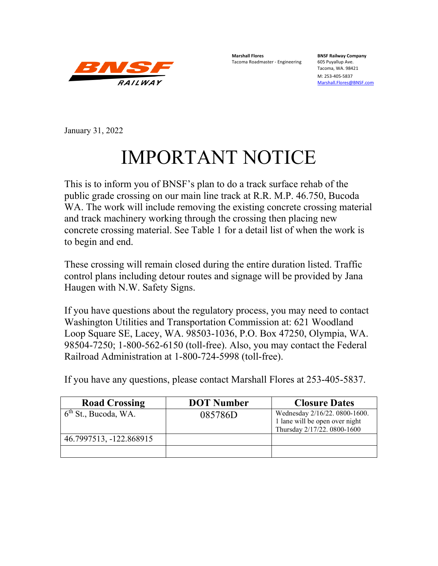

**Marshall Flores BNSF Railway Company** Tacoma Roadmaster - Engineering

Tacoma, WA. 98421

M: 253-405-5837 [Marshall.Flores@BNSF.com](mailto:Marshall.Flores@BNSF.com)

January 31, 2022

## IMPORTANT NOTICE

This is to inform you of BNSF's plan to do a track surface rehab of the public grade crossing on our main line track at R.R. M.P. 46.750, Bucoda WA. The work will include removing the existing concrete crossing material and track machinery working through the crossing then placing new concrete crossing material. See Table 1 for a detail list of when the work is to begin and end.

These crossing will remain closed during the entire duration listed. Traffic control plans including detour routes and signage will be provided by Jana Haugen with N.W. Safety Signs.

If you have questions about the regulatory process, you may need to contact Washington Utilities and Transportation Commission at: 621 Woodland Loop Square SE, Lacey, WA. 98503-1036, P.O. Box 47250, Olympia, WA. 98504-7250; 1-800-562-6150 (toll-free). Also, you may contact the Federal Railroad Administration at 1-800-724-5998 (toll-free).

If you have any questions, please contact Marshall Flores at 253-405-5837.

| <b>Road Crossing</b>    | <b>DOT Number</b> | <b>Closure Dates</b>                                                                           |
|-------------------------|-------------------|------------------------------------------------------------------------------------------------|
| $6th$ St., Bucoda, WA.  | 085786D           | Wednesday 2/16/22. 0800-1600.<br>1 lane will be open over night<br>Thursday 2/17/22. 0800-1600 |
| 46.7997513, -122.868915 |                   |                                                                                                |
|                         |                   |                                                                                                |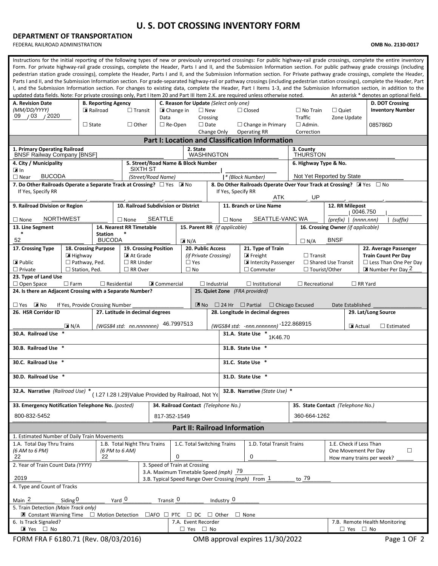## **U. S. DOT CROSSING INVENTORY FORM**

## **DEPARTMENT OF TRANSPORTATION**

FEDERAL RAILROAD ADMINISTRATION **OMB No. 2130-0017**

| Instructions for the initial reporting of the following types of new or previously unreported crossings: For public highway-rail grade crossings, complete the entire inventory<br>Form. For private highway-rail grade crossings, complete the Header, Parts I and II, and the Submission Information section. For public pathway grade crossings (including<br>pedestrian station grade crossings), complete the Header, Parts I and II, and the Submission Information section. For Private pathway grade crossings, complete the Header,<br>Parts I and II, and the Submission Information section. For grade-separated highway-rail or pathway crossings (including pedestrian station crossings), complete the Header, Part<br>I, and the Submission Information section. For changes to existing data, complete the Header, Part I Items 1-3, and the Submission Information section, in addition to the<br>An asterisk * denotes an optional field.<br>updated data fields. Note: For private crossings only, Part I Item 20 and Part III Item 2.K. are required unless otherwise noted. |        |  |  |  |  |  |  |  |  |
|--------------------------------------------------------------------------------------------------------------------------------------------------------------------------------------------------------------------------------------------------------------------------------------------------------------------------------------------------------------------------------------------------------------------------------------------------------------------------------------------------------------------------------------------------------------------------------------------------------------------------------------------------------------------------------------------------------------------------------------------------------------------------------------------------------------------------------------------------------------------------------------------------------------------------------------------------------------------------------------------------------------------------------------------------------------------------------------------------|--------|--|--|--|--|--|--|--|--|
| C. Reason for Update (Select only one)<br>D. DOT Crossing<br>A. Revision Date<br><b>B. Reporting Agency</b><br>(MM/DD/YYYY)<br>Railroad<br><b>Inventory Number</b><br>$\square$ New<br>$\Box$ No Train<br>$\Box$ Quiet                                                                                                                                                                                                                                                                                                                                                                                                                                                                                                                                                                                                                                                                                                                                                                                                                                                                           |        |  |  |  |  |  |  |  |  |
| $\triangleright$ Change in<br>$\Box$ Transit<br>$\Box$ Closed<br>$/03$ $/2020$<br>09<br><b>Traffic</b><br>Data<br>Zone Update<br>Crossing<br>$\Box$ Date<br>$\Box$ Admin.<br>$\Box$ State<br>$\Box$ Other<br>$\Box$ Re-Open<br>$\Box$ Change in Primary<br>085786D                                                                                                                                                                                                                                                                                                                                                                                                                                                                                                                                                                                                                                                                                                                                                                                                                               |        |  |  |  |  |  |  |  |  |
| Change Only<br><b>Operating RR</b><br>Correction                                                                                                                                                                                                                                                                                                                                                                                                                                                                                                                                                                                                                                                                                                                                                                                                                                                                                                                                                                                                                                                 |        |  |  |  |  |  |  |  |  |
| <b>Part I: Location and Classification Information</b>                                                                                                                                                                                                                                                                                                                                                                                                                                                                                                                                                                                                                                                                                                                                                                                                                                                                                                                                                                                                                                           |        |  |  |  |  |  |  |  |  |
| 1. Primary Operating Railroad<br>2. State<br>3. County<br><b>BNSF Railway Company [BNSF]</b><br><b>WASHINGTON</b><br><b>THURSTON</b>                                                                                                                                                                                                                                                                                                                                                                                                                                                                                                                                                                                                                                                                                                                                                                                                                                                                                                                                                             |        |  |  |  |  |  |  |  |  |
| 4. City / Municipality<br>5. Street/Road Name & Block Number<br>6. Highway Type & No.<br><b>SIXTH ST</b>                                                                                                                                                                                                                                                                                                                                                                                                                                                                                                                                                                                                                                                                                                                                                                                                                                                                                                                                                                                         |        |  |  |  |  |  |  |  |  |
| l⊠ln<br><b>BUCODA</b><br>Not Yet Reported by State<br>(Street/Road Name)<br> * (Block Number)<br>$\Box$ Near                                                                                                                                                                                                                                                                                                                                                                                                                                                                                                                                                                                                                                                                                                                                                                                                                                                                                                                                                                                     |        |  |  |  |  |  |  |  |  |
| 7. Do Other Railroads Operate a Separate Track at Crossing? $\Box$ Yes $\Box$ No<br>8. Do Other Railroads Operate Over Your Track at Crossing? $\mathbb{R}$ Yes $\Box$ No<br>If Yes, Specify RR<br>If Yes, Specify RR<br>ATK<br>UP                                                                                                                                                                                                                                                                                                                                                                                                                                                                                                                                                                                                                                                                                                                                                                                                                                                               |        |  |  |  |  |  |  |  |  |
| 10. Railroad Subdivision or District<br>12. RR Milepost<br>9. Railroad Division or Region<br>11. Branch or Line Name<br>0046.750                                                                                                                                                                                                                                                                                                                                                                                                                                                                                                                                                                                                                                                                                                                                                                                                                                                                                                                                                                 |        |  |  |  |  |  |  |  |  |
| <b>NORTHWEST</b><br><b>SEATTLE</b><br>SEATTLE-VANC WA<br>(suffix)<br>$\Box$ None<br>$\Box$ None<br>$\Box$ None<br>$(prefix)$   $(nnnnnnn)$                                                                                                                                                                                                                                                                                                                                                                                                                                                                                                                                                                                                                                                                                                                                                                                                                                                                                                                                                       |        |  |  |  |  |  |  |  |  |
| 15. Parent RR (if applicable)<br>13. Line Segment<br>14. Nearest RR Timetable<br>16. Crossing Owner (if applicable)<br>$\ast$<br><b>Station</b>                                                                                                                                                                                                                                                                                                                                                                                                                                                                                                                                                                                                                                                                                                                                                                                                                                                                                                                                                  |        |  |  |  |  |  |  |  |  |
| 52<br><b>BUCODA</b><br><b>BNSF</b><br>$\Box N/A$<br>$\boxed{\mathbf{X}}$ N/A                                                                                                                                                                                                                                                                                                                                                                                                                                                                                                                                                                                                                                                                                                                                                                                                                                                                                                                                                                                                                     |        |  |  |  |  |  |  |  |  |
| 17. Crossing Type<br><b>20. Public Access</b><br>21. Type of Train<br>22. Average Passenger<br>18. Crossing Purpose<br>19. Crossing Position                                                                                                                                                                                                                                                                                                                                                                                                                                                                                                                                                                                                                                                                                                                                                                                                                                                                                                                                                     |        |  |  |  |  |  |  |  |  |
| $\blacksquare$ Freight<br><b>Train Count Per Day</b><br>E Highway<br>At Grade<br>(if Private Crossina)<br>$\Box$ Transit<br>Public<br>$\Box$ Yes<br>Intercity Passenger<br>$\Box$ Pathway, Ped.<br>$\Box$ RR Under<br>$\Box$ Shared Use Transit<br>$\Box$ Less Than One Per Day                                                                                                                                                                                                                                                                                                                                                                                                                                                                                                                                                                                                                                                                                                                                                                                                                  |        |  |  |  |  |  |  |  |  |
| $\Box$ Private<br>$\Box$ Station, Ped.<br>$\Box$ RR Over<br>$\square$ No<br>$\Box$ Commuter<br>$\Box$ Tourist/Other<br>Number Per Day 2                                                                                                                                                                                                                                                                                                                                                                                                                                                                                                                                                                                                                                                                                                                                                                                                                                                                                                                                                          |        |  |  |  |  |  |  |  |  |
| 23. Type of Land Use<br>$\Box$ RR Yard<br>$\Box$ Open Space<br>$\Box$ Farm<br>$\Box$ Residential<br><b>X</b> Commercial<br>$\Box$ Institutional<br>$\Box$ Recreational<br>$\Box$ Industrial                                                                                                                                                                                                                                                                                                                                                                                                                                                                                                                                                                                                                                                                                                                                                                                                                                                                                                      |        |  |  |  |  |  |  |  |  |
| 24. Is there an Adjacent Crossing with a Separate Number?<br>25. Quiet Zone (FRA provided)                                                                                                                                                                                                                                                                                                                                                                                                                                                                                                                                                                                                                                                                                                                                                                                                                                                                                                                                                                                                       |        |  |  |  |  |  |  |  |  |
| $\mathbb{Z}$ No<br>$\blacksquare$ No<br>$\Box$ Chicago Excused<br>Date Established<br>$\square$ Yes<br>If Yes, Provide Crossing Number<br>$\Box$ 24 Hr $\Box$ Partial                                                                                                                                                                                                                                                                                                                                                                                                                                                                                                                                                                                                                                                                                                                                                                                                                                                                                                                            |        |  |  |  |  |  |  |  |  |
| 26. HSR Corridor ID<br>27. Latitude in decimal degrees<br>28. Longitude in decimal degrees<br>29. Lat/Long Source                                                                                                                                                                                                                                                                                                                                                                                                                                                                                                                                                                                                                                                                                                                                                                                                                                                                                                                                                                                |        |  |  |  |  |  |  |  |  |
| 46.7997513<br>(WGS84 std: -nnn.nnnnnnnn) -122.868915<br>(WGS84 std: nn.nnnnnnn)<br>$X$ N/A<br><b>X</b> Actual<br>$\Box$ Estimated                                                                                                                                                                                                                                                                                                                                                                                                                                                                                                                                                                                                                                                                                                                                                                                                                                                                                                                                                                |        |  |  |  |  |  |  |  |  |
| 30.A. Railroad Use<br>31.A. State Use<br>1K46.70                                                                                                                                                                                                                                                                                                                                                                                                                                                                                                                                                                                                                                                                                                                                                                                                                                                                                                                                                                                                                                                 |        |  |  |  |  |  |  |  |  |
| 30.B. Railroad Use *<br>31.B. State Use *                                                                                                                                                                                                                                                                                                                                                                                                                                                                                                                                                                                                                                                                                                                                                                                                                                                                                                                                                                                                                                                        |        |  |  |  |  |  |  |  |  |
| 30.C. Railroad Use *<br>31.C. State Use *                                                                                                                                                                                                                                                                                                                                                                                                                                                                                                                                                                                                                                                                                                                                                                                                                                                                                                                                                                                                                                                        |        |  |  |  |  |  |  |  |  |
| 30.D. Railroad Use<br>31.D. State Use                                                                                                                                                                                                                                                                                                                                                                                                                                                                                                                                                                                                                                                                                                                                                                                                                                                                                                                                                                                                                                                            |        |  |  |  |  |  |  |  |  |
| 32.A. Narrative (Railroad Use) *<br>32.B. Narrative (State Use) *<br>(I.27 I.28 I.29) Value Provided by Railroad, Not Ye                                                                                                                                                                                                                                                                                                                                                                                                                                                                                                                                                                                                                                                                                                                                                                                                                                                                                                                                                                         |        |  |  |  |  |  |  |  |  |
| 33. Emergency Notification Telephone No. (posted)<br>34. Railroad Contact (Telephone No.)<br>35. State Contact (Telephone No.)                                                                                                                                                                                                                                                                                                                                                                                                                                                                                                                                                                                                                                                                                                                                                                                                                                                                                                                                                                   |        |  |  |  |  |  |  |  |  |
| 800-832-5452<br>817-352-1549<br>360-664-1262                                                                                                                                                                                                                                                                                                                                                                                                                                                                                                                                                                                                                                                                                                                                                                                                                                                                                                                                                                                                                                                     |        |  |  |  |  |  |  |  |  |
| <b>Part II: Railroad Information</b>                                                                                                                                                                                                                                                                                                                                                                                                                                                                                                                                                                                                                                                                                                                                                                                                                                                                                                                                                                                                                                                             |        |  |  |  |  |  |  |  |  |
| 1. Estimated Number of Daily Train Movements                                                                                                                                                                                                                                                                                                                                                                                                                                                                                                                                                                                                                                                                                                                                                                                                                                                                                                                                                                                                                                                     |        |  |  |  |  |  |  |  |  |
| 1.A. Total Day Thru Trains<br>1.B. Total Night Thru Trains<br>1.D. Total Transit Trains<br>1.E. Check if Less Than<br>1.C. Total Switching Trains<br>One Movement Per Day<br>(6 AM to 6 PM)<br>(6 PM to 6 AM)                                                                                                                                                                                                                                                                                                                                                                                                                                                                                                                                                                                                                                                                                                                                                                                                                                                                                    | $\Box$ |  |  |  |  |  |  |  |  |
| 0<br>0<br>22<br>22<br>How many trains per week?                                                                                                                                                                                                                                                                                                                                                                                                                                                                                                                                                                                                                                                                                                                                                                                                                                                                                                                                                                                                                                                  |        |  |  |  |  |  |  |  |  |
| 2. Year of Train Count Data (YYYY)<br>3. Speed of Train at Crossing                                                                                                                                                                                                                                                                                                                                                                                                                                                                                                                                                                                                                                                                                                                                                                                                                                                                                                                                                                                                                              |        |  |  |  |  |  |  |  |  |
| 3.A. Maximum Timetable Speed (mph) 79<br>2019<br>to 79<br>3.B. Typical Speed Range Over Crossing (mph) From 1                                                                                                                                                                                                                                                                                                                                                                                                                                                                                                                                                                                                                                                                                                                                                                                                                                                                                                                                                                                    |        |  |  |  |  |  |  |  |  |
| 4. Type and Count of Tracks                                                                                                                                                                                                                                                                                                                                                                                                                                                                                                                                                                                                                                                                                                                                                                                                                                                                                                                                                                                                                                                                      |        |  |  |  |  |  |  |  |  |
| Yard 0<br>Main <sub>2</sub><br>Transit 0<br>Siding $0$<br>Industry 0<br>5. Train Detection (Main Track only)                                                                                                                                                                                                                                                                                                                                                                                                                                                                                                                                                                                                                                                                                                                                                                                                                                                                                                                                                                                     |        |  |  |  |  |  |  |  |  |
| $\blacksquare$ Constant Warning Time $\Box$ Motion Detection<br>$\Box$ AFO $\Box$ PTC<br>$\Box$ Other<br>$\Box$ None<br>$\sqcup$ DC                                                                                                                                                                                                                                                                                                                                                                                                                                                                                                                                                                                                                                                                                                                                                                                                                                                                                                                                                              |        |  |  |  |  |  |  |  |  |
| 7.A. Event Recorder<br>7.B. Remote Health Monitoring<br>6. Is Track Signaled?                                                                                                                                                                                                                                                                                                                                                                                                                                                                                                                                                                                                                                                                                                                                                                                                                                                                                                                                                                                                                    |        |  |  |  |  |  |  |  |  |
| $\Box$ Yes $\Box$ No<br>■ Yes □ No<br>$\square$ Yes $\square$ No<br>FORM FRA F 6180.71 (Rev. 08/03/2016)<br>OMB approval expires 11/30/2022<br>Page 1 OF 2                                                                                                                                                                                                                                                                                                                                                                                                                                                                                                                                                                                                                                                                                                                                                                                                                                                                                                                                       |        |  |  |  |  |  |  |  |  |